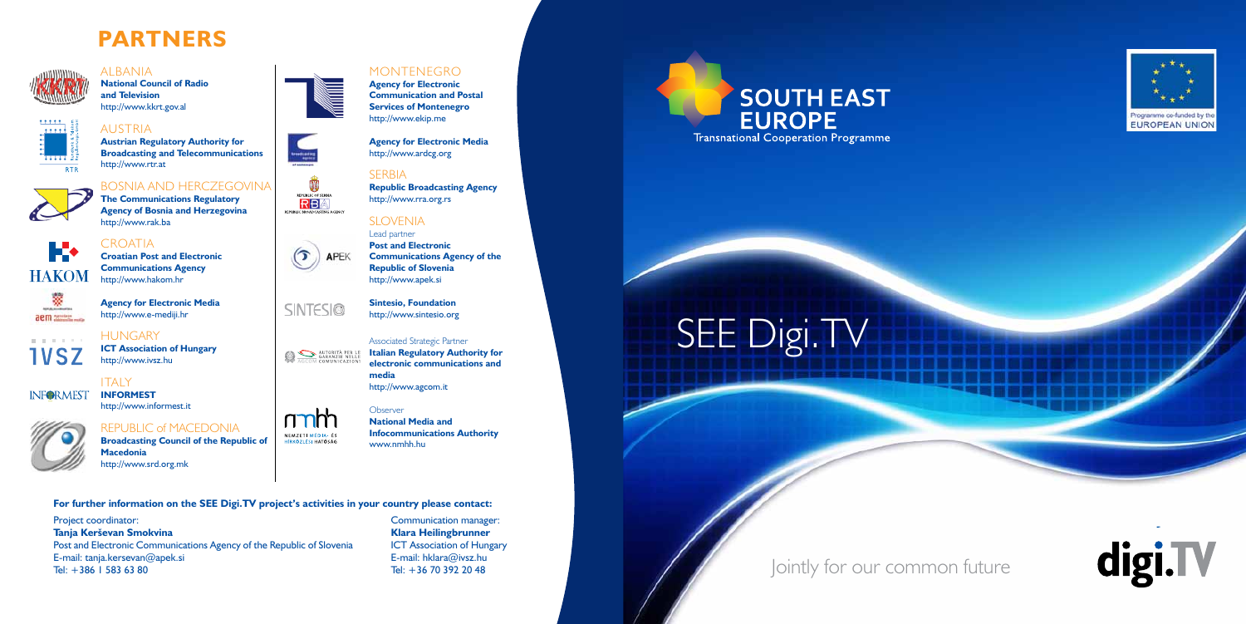## Jointly for our common future





#### **For further information on the SEE Digi.TV project's activities in your country please contact:**

Project coordinator: **Tanja Kerševan Smokvina**  Post and Electronic Communications Agency of the Republic of Slovenia E-mail: tanja.kersevan@apek.si Tel: +386 1 583 63 80

Communication manager: **Klara Heilingbrunner**  ICT Association of Hungary E-mail: hklara@ivsz.hu Tel: +36 70 392 20 48



# SEE Digi.TV

#### **CROATIA Croatian Post and Electronic**

**HAKOM** 



**National Council of Radio and Television**  http://www.kkrt.gov.al



#### **ITALY INFORMEST** http://www.informest.it

mm REPUBLIC of MACEDONIA NEMZETI MÉDIA- ÉS **Broadcasting Council of the Republic of**  HÍRKÖZLÉSI HATÓSÁG **Macedonia**  http://www.srd.org.mk



entralies<br>Tener

க

### AUSTRIA **Austrian Regulatory Authority for**

**SINTESI®** 

**AUTORITÀ PER LE**<br>AGCOM COMUNICAZIONI

APEK

REPUBLIC OF SERBIA RB REPUBLIC BROADCASTING AGENCY

**Broadcasting and Telecommunications**  http://www.rtr.at

### BOSNIA AND HERCZEGOVINA **The Communications Regulatory**

**Agency of Bosnia and Herzegovina**  http://www.rak.ba

**Communications Agency**  http://www.hakom.hr

and the state of **IVSZ** 

**INFORMEST** 

#### **Agency for Electronic Media**  http://www.e-mediji.hr

**ICT Association of Hungary** 

http://www.ivsz.hu

**HUNGARY** 



# **PARTNERS**

**ALBANIA** 



**Agency for Electronic Communication and Postal Services of Montenegro** http://www.ekip.me

**Agency for Electronic Media** http://www.ardcg.org

### **SFRBIA**

**Republic Broadcasting Agency**  http://www.rra.org.rs

### SI OVENIA

Lead partner **Post and Electronic Communications Agency of the Republic of Slovenia**  http://www.apek.si

**Sintesio, Foundation** http://www.sintesio.org

#### Associated Strategic Partner

**Italian Regulatory Authority for electronic communications and media** http://www.agcom.it

#### **Observer**

**National Media and Infocommunications Authority** www.nmhh.hu